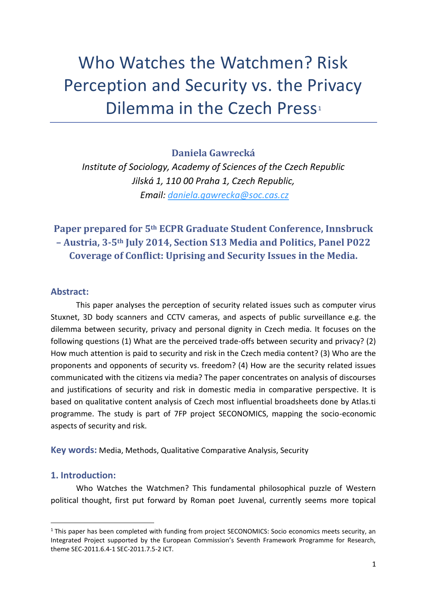# Who Watches the Watchmen? Risk Perception and Security vs. the Privacy Dilemma in the Czech Press<sup>1</sup>

**Daniela Gawrecká**

*Institute of Sociology, Academy of Sciences of the Czech Republic Jilská 1, 110 00 Praha 1, Czech Republic, Email: [daniela.gawrecka@soc.cas.cz](mailto:daniela.gawrecka@soc.cas.cz)*

# **Paper prepared for 5th ECPR Graduate Student Conference, Innsbruck – Austria, 3-5th July 2014, Section S13 Media and Politics, Panel P022 Coverage of Conflict: Uprising and Security Issues in the Media.**

## **Abstract:**

This paper analyses the perception of security related issues such as computer virus Stuxnet, 3D body scanners and CCTV cameras, and aspects of public surveillance e.g. the dilemma between security, privacy and personal dignity in Czech media. It focuses on the following questions (1) What are the perceived trade-offs between security and privacy? (2) How much attention is paid to security and risk in the Czech media content? (3) Who are the proponents and opponents of security vs. freedom? (4) How are the security related issues communicated with the citizens via media? The paper concentrates on analysis of discourses and justifications of security and risk in domestic media in comparative perspective. It is based on qualitative content analysis of Czech most influential broadsheets done by Atlas.ti programme. The study is part of 7FP project SECONOMICS, mapping the socio-economic aspects of security and risk.

**Key words:** Media, Methods, Qualitative Comparative Analysis, Security

## **1. Introduction:**

**.** 

Who Watches the Watchmen? This fundamental philosophical puzzle of Western political thought, first put forward by Roman poet Juvenal, currently seems more topical

 $1$  This paper has been completed with funding from project SECONOMICS: Socio economics meets security, an Integrated Project supported by the European Commission's Seventh Framework Programme for Research, theme SEC-2011.6.4-1 SEC-2011.7.5-2 ICT.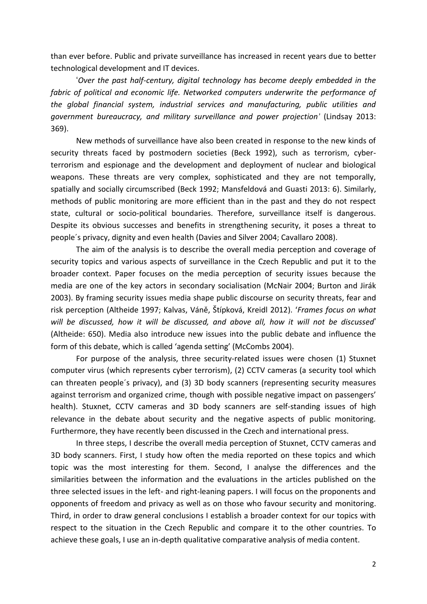than ever before. Public and private surveillance has increased in recent years due to better technological development and IT devices.

'*Over the past half-century, digital technology has become deeply embedded in the fabric of political and economic life. Networked computers underwrite the performance of the global financial system, industrial services and manufacturing, public utilities and government bureaucracy, and military surveillance and power projection'* (Lindsay 2013: 369).

New methods of surveillance have also been created in response to the new kinds of security threats faced by postmodern societies (Beck 1992), such as terrorism, cyberterrorism and espionage and the development and deployment of nuclear and biological weapons. These threats are very complex, sophisticated and they are not temporally, spatially and socially circumscribed (Beck 1992; Mansfeldová and Guasti 2013: 6). Similarly, methods of public monitoring are more efficient than in the past and they do not respect state, cultural or socio-political boundaries. Therefore, surveillance itself is dangerous. Despite its obvious successes and benefits in strengthening security, it poses a threat to people´s privacy, dignity and even health (Davies and Silver 2004; Cavallaro 2008).

The aim of the analysis is to describe the overall media perception and coverage of security topics and various aspects of surveillance in the Czech Republic and put it to the broader context. Paper focuses on the media perception of security issues because the media are one of the key actors in secondary socialisation (McNair 2004; Burton and Jirák 2003). By framing security issues media shape public discourse on security threats, fear and risk perception (Altheide 1997; Kalvas, Váně, Štípková, Kreidl 2012). '*Frames focus on what will be discussed, how it will be discussed, and above all, how it will not be discussed*' (Altheide: 650). Media also introduce new issues into the public debate and influence the form of this debate, which is called 'agenda setting' (McCombs 2004).

For purpose of the analysis, three security-related issues were chosen (1) Stuxnet computer virus (which represents cyber terrorism), (2) CCTV cameras (a security tool which can threaten people´s privacy), and (3) 3D body scanners (representing security measures against terrorism and organized crime, though with possible negative impact on passengers' health). Stuxnet, CCTV cameras and 3D body scanners are self-standing issues of high relevance in the debate about security and the negative aspects of public monitoring. Furthermore, they have recently been discussed in the Czech and international press.

In three steps, I describe the overall media perception of Stuxnet, CCTV cameras and 3D body scanners. First, I study how often the media reported on these topics and which topic was the most interesting for them. Second, I analyse the differences and the similarities between the information and the evaluations in the articles published on the three selected issues in the left- and right-leaning papers. I will focus on the proponents and opponents of freedom and privacy as well as on those who favour security and monitoring. Third, in order to draw general conclusions I establish a broader context for our topics with respect to the situation in the Czech Republic and compare it to the other countries. To achieve these goals, I use an in-depth qualitative comparative analysis of media content.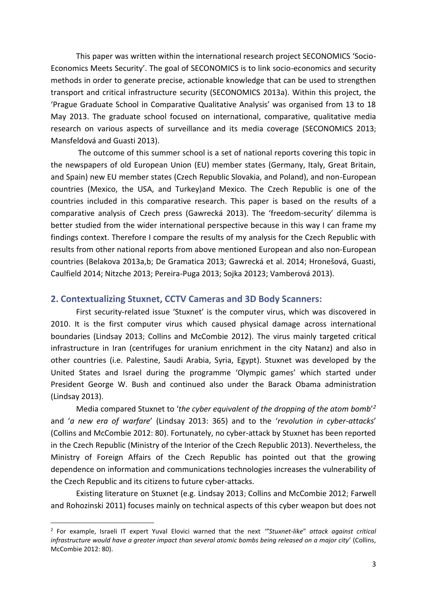This paper was written within the international research project SECONOMICS 'Socio-Economics Meets Security'. The goal of SECONOMICS is to link socio-economics and security methods in order to generate precise, actionable knowledge that can be used to strengthen transport and critical infrastructure security (SECONOMICS 2013a). Within this project, the 'Prague Graduate School in Comparative Qualitative Analysis' was organised from 13 to 18 May 2013. The graduate school focused on international, comparative, qualitative media research on various aspects of surveillance and its media coverage (SECONOMICS 2013; Mansfeldová and Guasti 2013).

The outcome of this summer school is a set of national reports covering this topic in the newspapers of old European Union (EU) member states (Germany, Italy, Great Britain, and Spain) new EU member states (Czech Republic Slovakia, and Poland), and non-European countries (Mexico, the USA, and Turkey)and Mexico. The Czech Republic is one of the countries included in this comparative research. This paper is based on the results of a comparative analysis of Czech press (Gawrecká 2013). The 'freedom-security' dilemma is better studied from the wider international perspective because in this way I can frame my findings context. Therefore I compare the results of my analysis for the Czech Republic with results from other national reports from above mentioned European and also non-European countries (Belakova 2013a,b; De Gramatica 2013; Gawrecká et al. 2014; Hronešová, Guasti, Caulfield 2014; Nitzche 2013; Pereira-Puga 2013; Sojka 20123; Vamberová 2013).

#### **2. Contextualizing Stuxnet, CCTV Cameras and 3D Body Scanners:**

First security-related issue 'Stuxnet' is the computer virus, which was discovered in 2010. It is the first computer virus which caused physical damage across international boundaries (Lindsay 2013; Collins and McCombie 2012). The virus mainly targeted critical infrastructure in Iran (centrifuges for uranium enrichment in the city Natanz) and also in other countries (i.e. Palestine, Saudi Arabia, Syria, Egypt). Stuxnet was developed by the United States and Israel during the programme 'Olympic games' which started under President George W. Bush and continued also under the Barack Obama administration (Lindsay 2013).

Media compared Stuxnet to '*the cyber equivalent of the dropping of the atom bomb*' *2* and '*a new era of warfare*' (Lindsay 2013: 365) and to the '*revolution in cyber-attacks*' (Collins and McCombie 2012: 80). Fortunately, no cyber-attack by Stuxnet has been reported in the Czech Republic (Ministry of the Interior of the Czech Republic 2013). Nevertheless, the Ministry of Foreign Affairs of the Czech Republic has pointed out that the growing dependence on information and communications technologies increases the vulnerability of the Czech Republic and its citizens to future cyber-attacks.

Existing literature on Stuxnet (e.g. Lindsay 2013; Collins and McCombie 2012; Farwell and Rohozinski 2011) focuses mainly on technical aspects of this cyber weapon but does not

**.** 

<sup>2</sup> For example, Israeli IT expert Yuval Elovici warned that the next *'"Stuxnet-like*" *attack against critical infrastructure would have a greater impact than several atomic bombs being released on a major city'* (Collins, McCombie 2012: 80).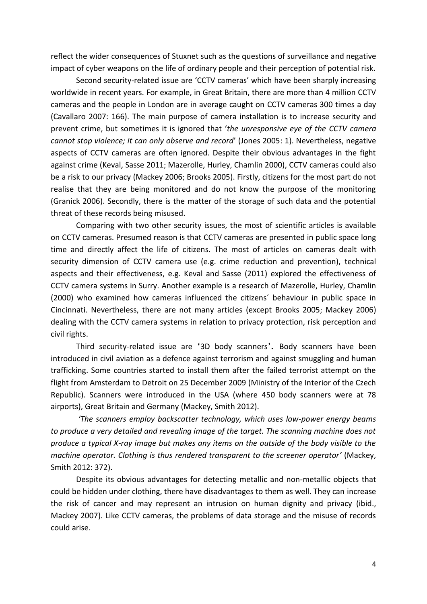reflect the wider consequences of Stuxnet such as the questions of surveillance and negative impact of cyber weapons on the life of ordinary people and their perception of potential risk.

Second security-related issue are 'CCTV cameras' which have been sharply increasing worldwide in recent years. For example, in Great Britain, there are more than 4 million CCTV cameras and the people in London are in average caught on CCTV cameras 300 times a day (Cavallaro 2007: 166). The main purpose of camera installation is to increase security and prevent crime, but sometimes it is ignored that '*the unresponsive eye of the CCTV camera cannot stop violence; it can only observe and record*' (Jones 2005: 1). Nevertheless, negative aspects of CCTV cameras are often ignored. Despite their obvious advantages in the fight against crime (Keval, Sasse 2011; Mazerolle, Hurley, Chamlin 2000), CCTV cameras could also be a risk to our privacy (Mackey 2006; Brooks 2005). Firstly, citizens for the most part do not realise that they are being monitored and do not know the purpose of the monitoring (Granick 2006). Secondly, there is the matter of the storage of such data and the potential threat of these records being misused.

Comparing with two other security issues, the most of scientific articles is available on CCTV cameras. Presumed reason is that CCTV cameras are presented in public space long time and directly affect the life of citizens. The most of articles on cameras dealt with security dimension of CCTV camera use (e.g. crime reduction and prevention), technical aspects and their effectiveness, e.g. Keval and Sasse (2011) explored the effectiveness of CCTV camera systems in Surry. Another example is a research of Mazerolle, Hurley, Chamlin (2000) who examined how cameras influenced the citizens´ behaviour in public space in Cincinnati. Nevertheless, there are not many articles (except Brooks 2005; Mackey 2006) dealing with the CCTV camera systems in relation to privacy protection, risk perception and civil rights.

Third security-related issue are '3D body scanners'. Body scanners have been introduced in civil aviation as a defence against terrorism and against smuggling and human trafficking. Some countries started to install them after the failed terrorist attempt on the flight from Amsterdam to Detroit on 25 December 2009 (Ministry of the Interior of the Czech Republic). Scanners were introduced in the USA (where 450 body scanners were at 78 airports), Great Britain and Germany (Mackey, Smith 2012).

*'The scanners employ backscatter technology, which uses low-power energy beams to produce a very detailed and revealing image of the target. The scanning machine does not produce a typical X-ray image but makes any items on the outside of the body visible to the machine operator. Clothing is thus rendered transparent to the screener operator'* (Mackey, Smith 2012: 372).

Despite its obvious advantages for detecting metallic and non-metallic objects that could be hidden under clothing, there have disadvantages to them as well. They can increase the risk of cancer and may represent an intrusion on human dignity and privacy (ibid., Mackey 2007). Like CCTV cameras, the problems of data storage and the misuse of records could arise.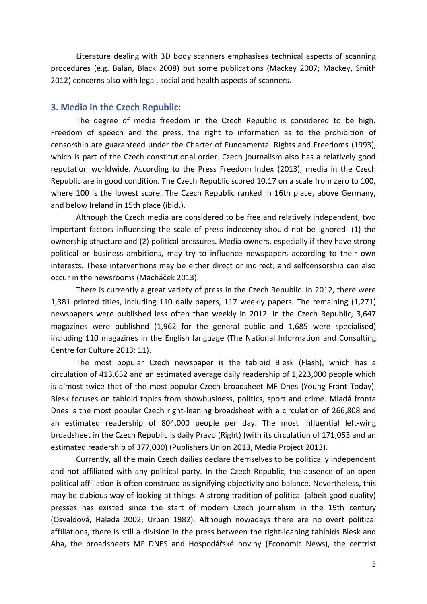Literature dealing with 3D body scanners emphasises technical aspects of scanning procedures (e.g. Balan, Black 2008) but some publications (Mackey 2007; Mackey, Smith 2012) concerns also with legal, social and health aspects of scanners.

#### **3. Media in the Czech Republic:**

The degree of media freedom in the Czech Republic is considered to be high. Freedom of speech and the press, the right to information as to the prohibition of censorship are guaranteed under the Charter of Fundamental Rights and Freedoms (1993), which is part of the Czech constitutional order. Czech journalism also has a relatively good reputation worldwide. According to the Press Freedom Index (2013), media in the Czech Republic are in good condition. The Czech Republic scored 10.17 on a scale from zero to 100, where 100 is the lowest score. The Czech Republic ranked in 16th place, above Germany, and below Ireland in 15th place (ibid.).

Although the Czech media are considered to be free and relatively independent, two important factors influencing the scale of press indecency should not be ignored: (1) the ownership structure and (2) political pressures. Media owners, especially if they have strong political or business ambitions, may try to influence newspapers according to their own interests. These interventions may be either direct or indirect; and selfcensorship can also occur in the newsrooms (Macháček 2013).

There is currently a great variety of press in the Czech Republic. In 2012, there were 1,381 printed titles, including 110 daily papers, 117 weekly papers. The remaining (1,271) newspapers were published less often than weekly in 2012. In the Czech Republic, 3,647 magazines were published (1,962 for the general public and 1,685 were specialised) including 110 magazines in the English language (The National Information and Consulting Centre for Culture 2013: 11).

The most popular Czech newspaper is the tabloid Blesk (Flash), which has a circulation of 413,652 and an estimated average daily readership of 1,223,000 people which is almost twice that of the most popular Czech broadsheet MF Dnes (Young Front Today). Blesk focuses on tabloid topics from showbusiness, politics, sport and crime. Mladá fronta Dnes is the most popular Czech right-leaning broadsheet with a circulation of 266,808 and an estimated readership of 804,000 people per day. The most influential left-wing broadsheet in the Czech Republic is daily Pravo (Right) (with its circulation of 171,053 and an estimated readership of 377,000) (Publishers Union 2013, Media Project 2013).

Currently, all the main Czech dailies declare themselves to be politically independent and not affiliated with any political party. In the Czech Republic, the absence of an open political affiliation is often construed as signifying objectivity and balance. Nevertheless, this may be dubious way of looking at things. A strong tradition of political (albeit good quality) presses has existed since the start of modern Czech journalism in the 19th century (Osvaldová, Halada 2002; Urban 1982). Although nowadays there are no overt political affiliations, there is still a division in the press between the right-leaning tabloids Blesk and Aha, the broadsheets MF DNES and Hospodářské noviny (Economic News), the centrist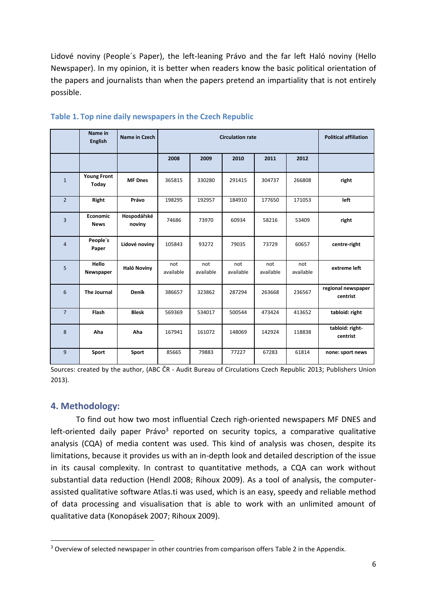Lidové noviny (People´s Paper), the left-leaning Právo and the far left Haló noviny (Hello Newspaper). In my opinion, it is better when readers know the basic political orientation of the papers and journalists than when the papers pretend an impartiality that is not entirely possible.

|                | Name in<br><b>English</b>   | Name in Czech         | <b>Circulation rate</b> |                  |                  |                  |                  | <b>Political affiliation</b>   |
|----------------|-----------------------------|-----------------------|-------------------------|------------------|------------------|------------------|------------------|--------------------------------|
|                |                             |                       | 2008                    | 2009             | 2010             | 2011             | 2012             |                                |
| $\mathbf{1}$   | <b>Young Front</b><br>Today | <b>MF</b> Dnes        | 365815                  | 330280           | 291415           | 304737           | 266808           | right                          |
| $\overline{2}$ | Right                       | Právo                 | 198295                  | 192957           | 184910           | 177650           | 171053           | left                           |
| 3              | Economic<br><b>News</b>     | Hospodářské<br>noviny | 74686                   | 73970            | 60934            | 58216            | 53409            | right                          |
| $\overline{4}$ | People's<br>Paper           | Lidové noviny         | 105843                  | 93272            | 79035            | 73729            | 60657            | centre-right                   |
| 5              | Hello<br>Newspaper          | Haló Noviny           | not<br>available        | not<br>available | not<br>available | not<br>available | not<br>available | extreme left                   |
| 6              | <b>The Journal</b>          | Deník                 | 386657                  | 323862           | 287294           | 263668           | 236567           | regional newspaper<br>centrist |
| $\overline{7}$ | Flash                       | <b>Blesk</b>          | 569369                  | 534017           | 500544           | 473424           | 413652           | tabloid: right                 |
| 8              | Aha                         | Aha                   | 167941                  | 161072           | 148069           | 142924           | 118838           | tabloid: right-<br>centrist    |
| 9              | Sport                       | Sport                 | 85665                   | 79883            | 77227            | 67283            | 61814            | none: sport news               |

#### **Table 1. Top nine daily newspapers in the Czech Republic**

Sources: created by the author, (ABC ČR - Audit Bureau of Circulations Czech Republic 2013; Publishers Union 2013).

## **4. Methodology:**

**.** 

To find out how two most influential Czech righ-oriented newspapers MF DNES and left-oriented daily paper Právo<sup>3</sup> reported on security topics, a comparative qualitative analysis (CQA) of media content was used. This kind of analysis was chosen, despite its limitations, because it provides us with an in-depth look and detailed description of the issue in its causal complexity. In contrast to quantitative methods, a CQA can work without substantial data reduction (Hendl 2008; Rihoux 2009). As a tool of analysis, the computerassisted qualitative software Atlas.ti was used, which is an easy, speedy and reliable method of data processing and visualisation that is able to work with an unlimited amount of qualitative data (Konopásek 2007; Rihoux 2009).

<sup>&</sup>lt;sup>3</sup> Overview of selected newspaper in other countries from comparison offers Table 2 in the Appendix.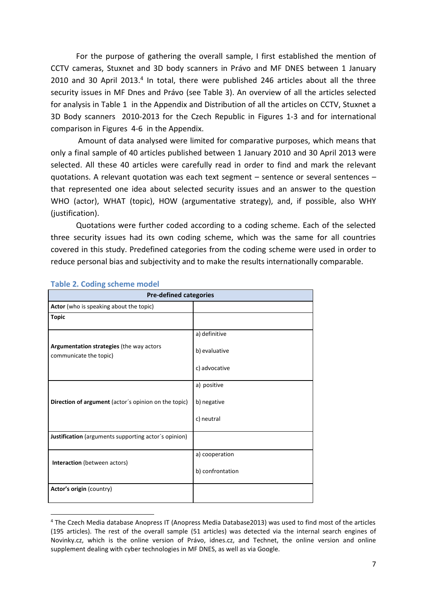For the purpose of gathering the overall sample, I first established the mention of CCTV cameras, Stuxnet and 3D body scanners in Právo and MF DNES between 1 January 2010 and 30 April 2013.<sup>4</sup> In total, there were published 246 articles about all the three security issues in MF Dnes and Právo (see Table 3). An overview of all the articles selected for analysis in Table 1 in the Appendix and Distribution of all the articles on CCTV, Stuxnet a 3D Body scanners 2010-2013 for the Czech Republic in Figures 1-3 and for international comparison in Figures 4-6 in the Appendix.

Amount of data analysed were limited for comparative purposes, which means that only a final sample of 40 articles published between 1 January 2010 and 30 April 2013 were selected. All these 40 articles were carefully read in order to find and mark the relevant quotations. A relevant quotation was each text segment - sentence or several sentences that represented one idea about selected security issues and an answer to the question WHO (actor), WHAT (topic), HOW (argumentative strategy), and, if possible, also WHY (justification).

Quotations were further coded according to a coding scheme. Each of the selected three security issues had its own coding scheme, which was the same for all countries covered in this study. Predefined categories from the coding scheme were used in order to reduce personal bias and subjectivity and to make the results internationally comparable.

| <b>Pre-defined categories</b>                                      |                  |  |  |
|--------------------------------------------------------------------|------------------|--|--|
| Actor (who is speaking about the topic)                            |                  |  |  |
| <b>Topic</b>                                                       |                  |  |  |
|                                                                    | a) definitive    |  |  |
| Argumentation strategies (the way actors<br>communicate the topic) | b) evaluative    |  |  |
|                                                                    | c) advocative    |  |  |
|                                                                    | a) positive      |  |  |
| Direction of argument (actor's opinion on the topic)               | b) negative      |  |  |
|                                                                    | c) neutral       |  |  |
| Justification (arguments supporting actor's opinion)               |                  |  |  |
|                                                                    | a) cooperation   |  |  |
| Interaction (between actors)                                       | b) confrontation |  |  |
| Actor's origin (country)                                           |                  |  |  |

#### **Table 2. Coding scheme model**

1

<sup>4</sup> The Czech Media database Anopress IT (Anopress Media Database2013) was used to find most of the articles (195 articles). The rest of the overall sample (51 articles) was detected via the internal search engines of Novinky.cz, which is the online version of Právo, idnes.cz, and Technet, the online version and online supplement dealing with cyber technologies in MF DNES, as well as via Google.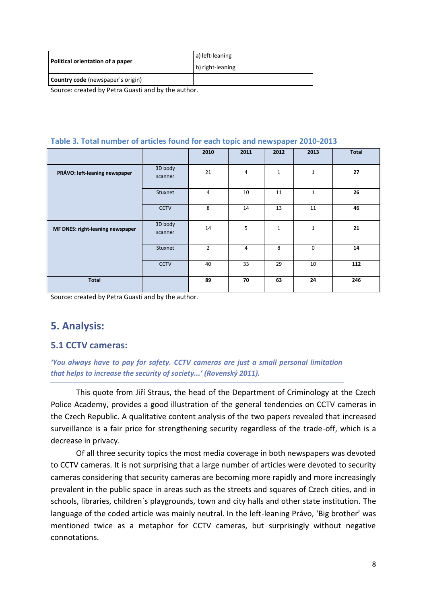| Political orientation of a paper         | a) left-leaning<br>b) right-leaning |  |
|------------------------------------------|-------------------------------------|--|
| <b>Country code</b> (newspaper's origin) |                                     |  |
| .                                        |                                     |  |

Source: created by Petra Guasti and by the author.

|  | Table 3. Total number of articles found for each topic and newspaper 2010-2013 |  |  |  |  |
|--|--------------------------------------------------------------------------------|--|--|--|--|
|--|--------------------------------------------------------------------------------|--|--|--|--|

|                                  |                    | 2010           | 2011           | 2012 | 2013         | <b>Total</b> |
|----------------------------------|--------------------|----------------|----------------|------|--------------|--------------|
| PRÁVO: left-leaning newspaper    | 3D body<br>scanner | 21             | 4              | 1    | $\mathbf{1}$ | 27           |
|                                  | Stuxnet            | $\overline{4}$ | 10             | 11   | $\mathbf{1}$ | 26           |
|                                  | CCTV               | 8              | 14             | 13   | 11           | 46           |
| MF DNES: right-leaning newspaper | 3D body<br>scanner | 14             | 5              | 1    | $\mathbf 1$  | 21           |
|                                  | Stuxnet            | $\overline{2}$ | $\overline{4}$ | 8    | $\mathbf 0$  | 14           |
|                                  | <b>CCTV</b>        | 40             | 33             | 29   | 10           | 112          |
| <b>Total</b>                     |                    | 89             | 70             | 63   | 24           | 246          |

Source: created by Petra Guasti and by the author.

# **5. Analysis:**

## **5.1 CCTV cameras:**

*'You always have to pay for safety. CCTV cameras are just a small personal limitation that helps to increase the security of society...' (Rovenský 2011).*

This quote from Jiří Straus, the head of the Department of Criminology at the Czech Police Academy, provides a good illustration of the general tendencies on CCTV cameras in the Czech Republic. A qualitative content analysis of the two papers revealed that increased surveillance is a fair price for strengthening security regardless of the trade-off, which is a decrease in privacy.

Of all three security topics the most media coverage in both newspapers was devoted to CCTV cameras. It is not surprising that a large number of articles were devoted to security cameras considering that security cameras are becoming more rapidly and more increasingly prevalent in the public space in areas such as the streets and squares of Czech cities, and in schools, libraries, children´s playgrounds, town and city halls and other state institution. The language of the coded article was mainly neutral. In the left-leaning Právo, 'Big brother' was mentioned twice as a metaphor for CCTV cameras, but surprisingly without negative connotations.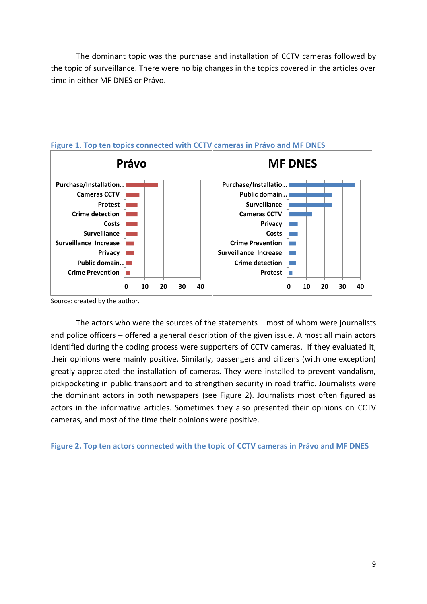The dominant topic was the purchase and installation of CCTV cameras followed by the topic of surveillance. There were no big changes in the topics covered in the articles over time in either MF DNES or Právo.



## **Figure 1. Top ten topics connected with CCTV cameras in Právo and MF DNES**

Source: created by the author.

The actors who were the sources of the statements – most of whom were journalists and police officers – offered a general description of the given issue. Almost all main actors identified during the coding process were supporters of CCTV cameras. If they evaluated it, their opinions were mainly positive. Similarly, passengers and citizens (with one exception) greatly appreciated the installation of cameras. They were installed to prevent vandalism, pickpocketing in public transport and to strengthen security in road traffic. Journalists were the dominant actors in both newspapers (see Figure 2). Journalists most often figured as actors in the informative articles. Sometimes they also presented their opinions on CCTV cameras, and most of the time their opinions were positive.

**Figure 2. Top ten actors connected with the topic of CCTV cameras in Právo and MF DNES**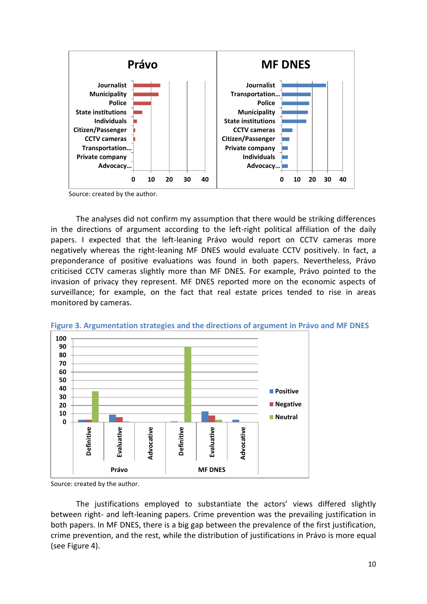

Source: created by the author.

The analyses did not confirm my assumption that there would be striking differences in the directions of argument according to the left-right political affiliation of the daily papers. I expected that the left-leaning Právo would report on CCTV cameras more negatively whereas the right-leaning MF DNES would evaluate CCTV positively. In fact, a preponderance of positive evaluations was found in both papers. Nevertheless, Právo criticised CCTV cameras slightly more than MF DNES. For example, Právo pointed to the invasion of privacy they represent. MF DNES reported more on the economic aspects of surveillance; for example, on the fact that real estate prices tended to rise in areas monitored by cameras.



**Figure 3. Argumentation strategies and the directions of argument in Právo and MF DNES**

Source: created by the author.

The justifications employed to substantiate the actors' views differed slightly between right- and left-leaning papers. Crime prevention was the prevailing justification in both papers. In MF DNES, there is a big gap between the prevalence of the first justification, crime prevention, and the rest, while the distribution of justifications in Právo is more equal (see Figure 4).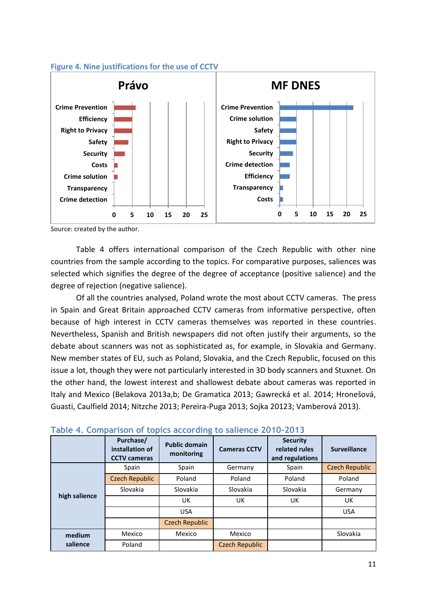

#### **Figure 4. Nine justifications for the use of CCTV**

Source: created by the author.

Table 4 offers international comparison of the Czech Republic with other nine countries from the sample according to the topics. For comparative purposes, saliences was selected which signifies the degree of the degree of acceptance (positive salience) and the degree of rejection (negative salience).

Of all the countries analysed, Poland wrote the most about CCTV cameras. The press in Spain and Great Britain approached CCTV cameras from informative perspective, often because of high interest in CCTV cameras themselves was reported in these countries. Nevertheless, Spanish and British newspapers did not often justify their arguments, so the debate about scanners was not as sophisticated as, for example, in Slovakia and Germany. New member states of EU, such as Poland, Slovakia, and the Czech Republic, focused on this issue a lot, though they were not particularly interested in 3D body scanners and Stuxnet. On the other hand, the lowest interest and shallowest debate about cameras was reported in Italy and Mexico (Belakova 2013a,b; De Gramatica 2013; Gawrecká et al. 2014; Hronešová, Guasti, Caulfield 2014; Nitzche 2013; Pereira-Puga 2013; Sojka 20123; Vamberová 2013).

|                    | Purchase/<br>installation of<br><b>CCTV cameras</b> | <b>Public domain</b><br>monitoring | <b>Cameras CCTV</b> | <b>Security</b><br>related rules<br>and regulations | <b>Surveillance</b>   |
|--------------------|-----------------------------------------------------|------------------------------------|---------------------|-----------------------------------------------------|-----------------------|
|                    | Spain                                               | Spain                              | Germany             | Spain                                               | <b>Czech Republic</b> |
|                    | <b>Czech Republic</b>                               | Poland                             | Poland              | Poland                                              | Poland                |
|                    | Slovakia                                            | Slovakia                           | Slovakia            | Slovakia                                            | Germany               |
| high salience      |                                                     | UK                                 | UK.                 | UK                                                  | UK                    |
|                    |                                                     | <b>USA</b>                         |                     |                                                     | <b>USA</b>            |
|                    |                                                     | Czech Republic                     |                     |                                                     |                       |
| medium<br>salience | Mexico                                              | Mexico                             | Mexico              |                                                     | Slovakia              |
|                    | Poland                                              |                                    | Czech Republic      |                                                     |                       |

## **Table 4. Comparison of topics according to salience 2010-2013**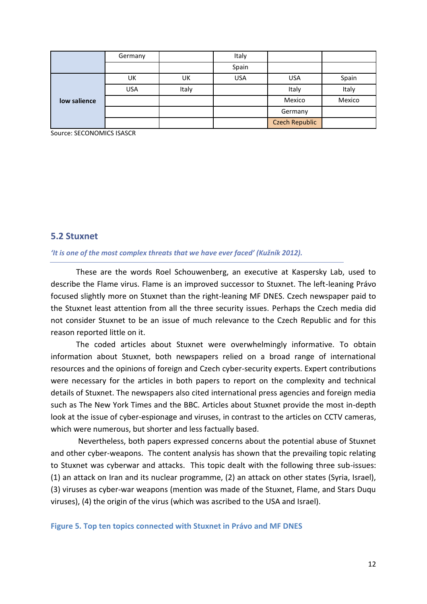|              | Germany    |       | Italy      |                       |        |
|--------------|------------|-------|------------|-----------------------|--------|
|              |            |       | Spain      |                       |        |
|              | UK         | UK    | <b>USA</b> | <b>USA</b>            | Spain  |
|              | <b>USA</b> | Italy |            | Italy                 | Italy  |
| low salience |            |       |            | Mexico                | Mexico |
|              |            |       |            | Germany               |        |
|              |            |       |            | <b>Czech Republic</b> |        |

Source: SECONOMICS ISASCR

#### **5.2 Stuxnet**

#### *'It is one of the most complex threats that we have ever faced' (Kužník 2012).*

These are the words Roel Schouwenberg, an executive at Kaspersky Lab, used to describe the Flame virus. Flame is an improved successor to Stuxnet. The left-leaning Právo focused slightly more on Stuxnet than the right-leaning MF DNES. Czech newspaper paid to the Stuxnet least attention from all the three security issues. Perhaps the Czech media did not consider Stuxnet to be an issue of much relevance to the Czech Republic and for this reason reported little on it.

The coded articles about Stuxnet were overwhelmingly informative. To obtain information about Stuxnet, both newspapers relied on a broad range of international resources and the opinions of foreign and Czech cyber-security experts. Expert contributions were necessary for the articles in both papers to report on the complexity and technical details of Stuxnet. The newspapers also cited international press agencies and foreign media such as The New York Times and the BBC. Articles about Stuxnet provide the most in-depth look at the issue of cyber-espionage and viruses, in contrast to the articles on CCTV cameras, which were numerous, but shorter and less factually based.

Nevertheless, both papers expressed concerns about the potential abuse of Stuxnet and other cyber-weapons. The content analysis has shown that the prevailing topic relating to Stuxnet was cyberwar and attacks. This topic dealt with the following three sub-issues: (1) an attack on Iran and its nuclear programme, (2) an attack on other states (Syria, Israel), (3) viruses as cyber-war weapons (mention was made of the Stuxnet, Flame, and Stars Duqu viruses), (4) the origin of the virus (which was ascribed to the USA and Israel).

**Figure 5. Top ten topics connected with Stuxnet in Právo and MF DNES**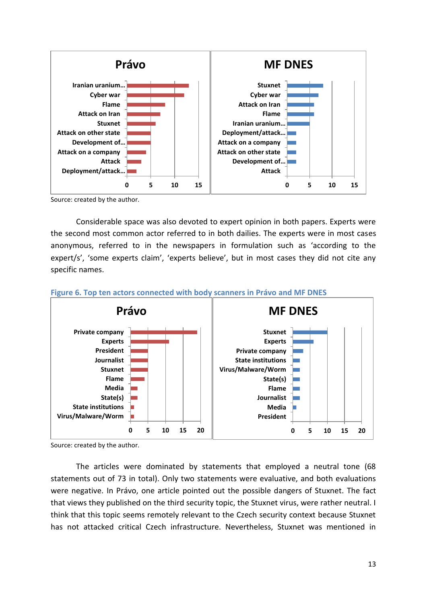

Source: created by the author.

Considerable space was also devoted to expert opinion in both papers. Experts were the second most common actor referred to in both dailies. The experts were in most cases anonymous, referred to in the newspapers in formulation such as 'according to the expert/s', 'some experts claim', 'experts believe', but in most cases they did not cite any specific names.



#### **Figure 6. Top ten actors connected with body scanners in Právo and MF DNES**

Source: created by the author.

The articles were dominated by statements that employed a neutral tone (68 statements out of 73 in total). Only two statements were evaluative, and both evaluations were negative. In Právo, one article pointed out the possible dangers of Stuxnet. The fact that views they published on the third security topic, the Stuxnet virus, were rather neutral. I think that this topic seems remotely relevant to the Czech security context because Stuxnet has not attacked critical Czech infrastructure. Nevertheless, Stuxnet was mentioned in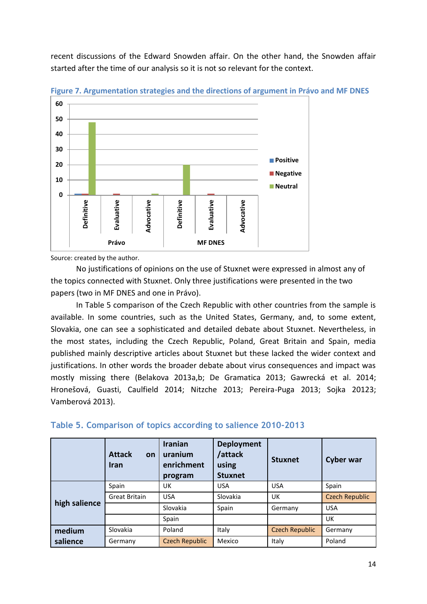recent discussions of the Edward Snowden affair. On the other hand, the Snowden affair started after the time of our analysis so it is not so relevant for the context.



**Figure 7. Argumentation strategies and the directions of argument in Právo and MF DNES**

Source: created by the author.

No justifications of opinions on the use of Stuxnet were expressed in almost any of the topics connected with Stuxnet. Only three justifications were presented in the two papers (two in MF DNES and one in Právo).

In Table 5 comparison of the Czech Republic with other countries from the sample is available. In some countries, such as the United States, Germany, and, to some extent, Slovakia, one can see a sophisticated and detailed debate about Stuxnet. Nevertheless, in the most states, including the Czech Republic, Poland, Great Britain and Spain, media published mainly descriptive articles about Stuxnet but these lacked the wider context and justifications. In other words the broader debate about virus consequences and impact was mostly missing there (Belakova 2013a,b; De Gramatica 2013; Gawrecká et al. 2014; Hronešová, Guasti, Caulfield 2014; Nitzche 2013; Pereira-Puga 2013; Sojka 20123; Vamberová 2013).

|               | <b>Attack</b><br>on<br><b>Iran</b> | <b>Iranian</b><br>uranium<br>enrichment<br>program | <b>Deployment</b><br>/attack<br>using<br><b>Stuxnet</b> | <b>Stuxnet</b>        | <b>Cyber war</b>      |
|---------------|------------------------------------|----------------------------------------------------|---------------------------------------------------------|-----------------------|-----------------------|
|               | Spain                              | UK                                                 | <b>USA</b>                                              | <b>USA</b>            | Spain                 |
|               | <b>Great Britain</b>               | <b>USA</b>                                         | Slovakia                                                | UK                    | <b>Czech Republic</b> |
| high salience |                                    | Slovakia                                           | Spain                                                   | Germany               | <b>USA</b>            |
|               |                                    | Spain                                              |                                                         |                       | UK                    |
| medium        | Slovakia                           | Poland                                             | Italy                                                   | <b>Czech Republic</b> | Germany               |
| salience      | Germany                            | <b>Czech Republic</b>                              | Mexico                                                  | Italy                 | Poland                |

#### **Table 5. Comparison of topics according to salience 2010-2013**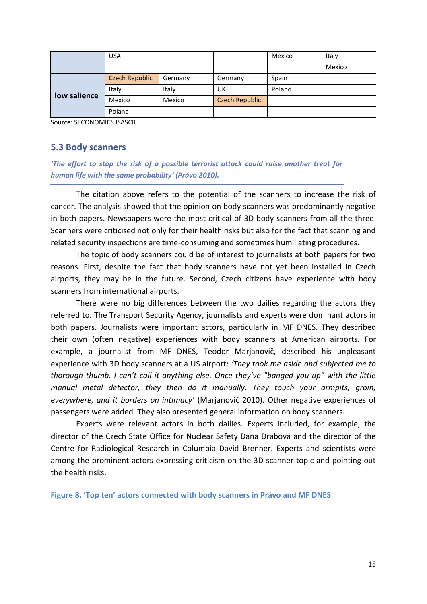|              | <b>USA</b>            |         |                       | Mexico | Italy  |
|--------------|-----------------------|---------|-----------------------|--------|--------|
|              |                       |         |                       |        | Mexico |
| low salience | <b>Czech Republic</b> | Germany | Germany               | Spain  |        |
|              | Italy                 | Italy   | UK                    | Poland |        |
|              | Mexico                | Mexico  | <b>Czech Republic</b> |        |        |
|              | Poland                |         |                       |        |        |

Source: SECONOMICS ISASCR

#### **5.3 Body scanners**

*'The effort to stop the risk of a possible terrorist attack could raise another treat for human life with the same probability' (Právo 2010).* 

The citation above refers to the potential of the scanners to increase the risk of cancer. The analysis showed that the opinion on body scanners was predominantly negative in both papers. Newspapers were the most critical of 3D body scanners from all the three. Scanners were criticised not only for their health risks but also for the fact that scanning and related security inspections are time-consuming and sometimes humiliating procedures.

The topic of body scanners could be of interest to journalists at both papers for two reasons. First, despite the fact that body scanners have not yet been installed in Czech airports, they may be in the future. Second, Czech citizens have experience with body scanners from international airports.

There were no big differences between the two dailies regarding the actors they referred to. The Transport Security Agency, journalists and experts were dominant actors in both papers. Journalists were important actors, particularly in MF DNES. They described their own (often negative) experiences with body scanners at American airports. For example, a journalist from MF DNES, Teodor Marjanovič, described his unpleasant experience with 3D body scanners at a US airport: *'They took me aside and subjected me to thorough thumb. I can't call it anything else. Once they've "banged you up" with the little manual metal detector, they then do it manually. They touch your armpits, groin, everywhere, and it borders on intimacy'* (Marjanovič 2010). Other negative experiences of passengers were added. They also presented general information on body scanners.

Experts were relevant actors in both dailies. Experts included, for example, the director of the Czech State Office for Nuclear Safety Dana Drábová and the director of the Centre for Radiological Research in Columbia David Brenner. Experts and scientists were among the prominent actors expressing criticism on the 3D scanner topic and pointing out the health risks.

**Figure 8. 'Top ten' actors connected with body scanners in Právo and MF DNES**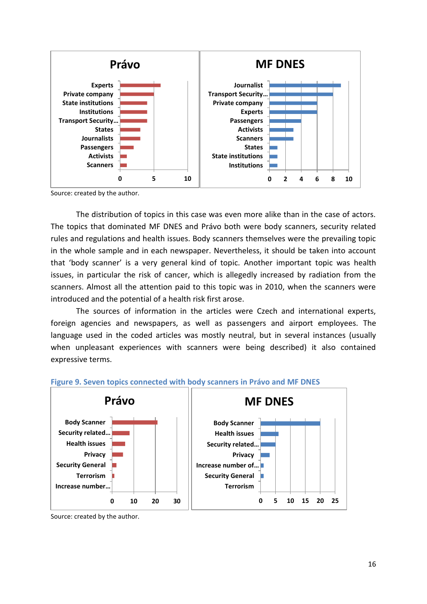

Source: created by the author.

The distribution of topics in this case was even more alike than in the case of actors. The topics that dominated MF DNES and Právo both were body scanners, security related rules and regulations and health issues. Body scanners themselves were the prevailing topic in the whole sample and in each newspaper. Nevertheless, it should be taken into account that 'body scanner' is a very general kind of topic. Another important topic was health issues, in particular the risk of cancer, which is allegedly increased by radiation from the scanners. Almost all the attention paid to this topic was in 2010, when the scanners were introduced and the potential of a health risk first arose.

The sources of information in the articles were Czech and international experts, foreign agencies and newspapers, as well as passengers and airport employees. The language used in the coded articles was mostly neutral, but in several instances (usually when unpleasant experiences with scanners were being described) it also contained expressive terms.



#### **Figure 9. Seven topics connected with body scanners in Právo and MF DNES**

Source: created by the author.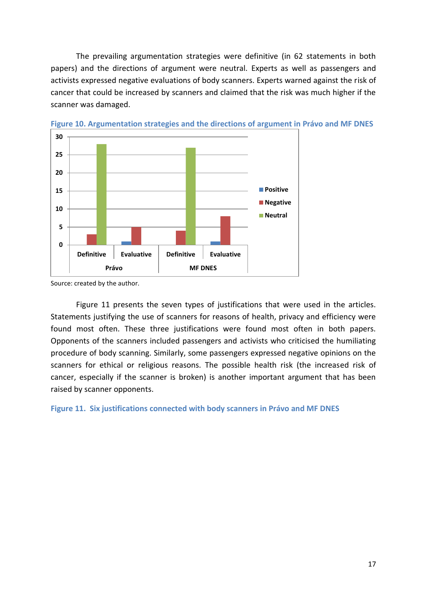The prevailing argumentation strategies were definitive (in 62 statements in both papers) and the directions of argument were neutral. Experts as well as passengers and activists expressed negative evaluations of body scanners. Experts warned against the risk of cancer that could be increased by scanners and claimed that the risk was much higher if the scanner was damaged.



**Figure 10. Argumentation strategies and the directions of argument in Právo and MF DNES**

Figure 11 presents the seven types of justifications that were used in the articles. Statements justifying the use of scanners for reasons of health, privacy and efficiency were found most often. These three justifications were found most often in both papers. Opponents of the scanners included passengers and activists who criticised the humiliating procedure of body scanning. Similarly, some passengers expressed negative opinions on the scanners for ethical or religious reasons. The possible health risk (the increased risk of cancer, especially if the scanner is broken) is another important argument that has been raised by scanner opponents.

**Figure 11. Six justifications connected with body scanners in Právo and MF DNES**

Source: created by the author.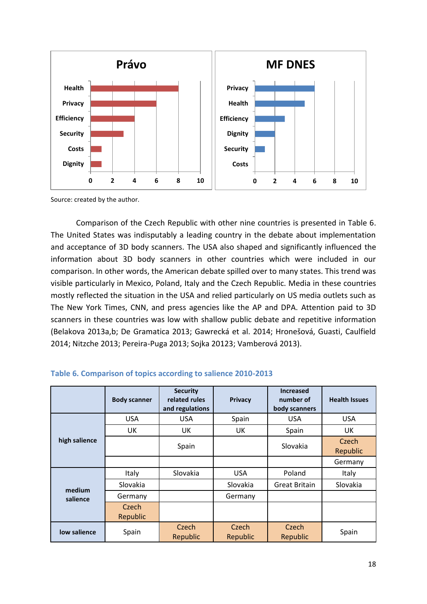

Source: created by the author.

Comparison of the Czech Republic with other nine countries is presented in Table 6. The United States was indisputably a leading country in the debate about implementation and acceptance of 3D body scanners. The USA also shaped and significantly influenced the information about 3D body scanners in other countries which were included in our comparison. In other words, the American debate spilled over to many states. This trend was visible particularly in Mexico, Poland, Italy and the Czech Republic. Media in these countries mostly reflected the situation in the USA and relied particularly on US media outlets such as The New York Times, CNN, and press agencies like the AP and DPA. Attention paid to 3D scanners in these countries was low with shallow public debate and repetitive information (Belakova 2013a,b; De Gramatica 2013; Gawrecká et al. 2014; Hronešová, Guasti, Caulfield 2014; Nitzche 2013; Pereira-Puga 2013; Sojka 20123; Vamberová 2013).

|               | <b>Body scanner</b> | <b>Security</b><br>related rules<br>and regulations | <b>Privacy</b>    | <b>Increased</b><br>number of<br>body scanners | <b>Health Issues</b> |
|---------------|---------------------|-----------------------------------------------------|-------------------|------------------------------------------------|----------------------|
|               | <b>USA</b>          | <b>USA</b>                                          | Spain             | <b>USA</b>                                     | <b>USA</b>           |
|               | UK.                 | UK                                                  | UK                | Spain                                          | UK                   |
| high salience |                     | Spain                                               |                   | Slovakia                                       | Czech<br>Republic    |
|               |                     |                                                     |                   |                                                | Germany              |
|               | Italy               | Slovakia                                            | <b>USA</b>        | Poland                                         | Italy                |
| medium        | Slovakia            |                                                     | <b>Slovakia</b>   | <b>Great Britain</b>                           | Slovakia             |
| salience      | Germany             |                                                     | Germany           |                                                |                      |
|               | Czech<br>Republic   |                                                     |                   |                                                |                      |
| low salience  | Spain               | Czech<br>Republic                                   | Czech<br>Republic | Czech<br>Republic                              | Spain                |

#### **Table 6. Comparison of topics according to salience 2010-2013**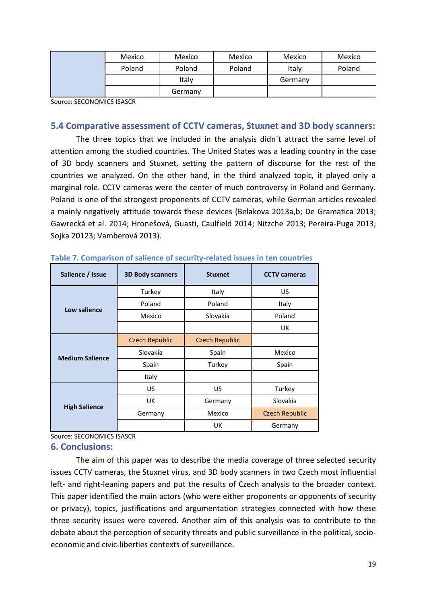| Mexico | Mexico  | Mexico | Mexico  | Mexico |
|--------|---------|--------|---------|--------|
| Poland | Poland  | Poland | Italy   | Poland |
|        | Italy   |        | Germany |        |
|        | Germany |        |         |        |

Source: SECONOMICS ISASCR

### **5.4 Comparative assessment of CCTV cameras, Stuxnet and 3D body scanners:**

The three topics that we included in the analysis didn´t attract the same level of attention among the studied countries. The United States was a leading country in the case of 3D body scanners and Stuxnet, setting the pattern of discourse for the rest of the countries we analyzed. On the other hand, in the third analyzed topic, it played only a marginal role. CCTV cameras were the center of much controversy in Poland and Germany. Poland is one of the strongest proponents of CCTV cameras, while German articles revealed a mainly negatively attitude towards these devices (Belakova 2013a,b; De Gramatica 2013; Gawrecká et al. 2014; Hronešová, Guasti, Caulfield 2014; Nitzche 2013; Pereira-Puga 2013; Sojka 20123; Vamberová 2013).

| Salience / Issue       | <b>3D Body scanners</b> | <b>Stuxnet</b>        | <b>CCTV</b> cameras   |
|------------------------|-------------------------|-----------------------|-----------------------|
|                        | Turkey                  | Italy                 | US                    |
| Low salience           | Poland                  | Poland                | Italy                 |
|                        | Mexico                  | Slovakia              | Poland                |
|                        |                         |                       | UK                    |
|                        | <b>Czech Republic</b>   | <b>Czech Republic</b> |                       |
| <b>Medium Salience</b> | Slovakia                | Spain                 | Mexico                |
|                        | Spain                   | Turkey                | Spain                 |
|                        | Italy                   |                       |                       |
|                        | US                      | US                    | Turkey                |
|                        | UK                      | Germany               | Slovakia              |
| <b>High Salience</b>   | Germany                 | Mexico                | <b>Czech Republic</b> |
|                        |                         | UK                    | Germany               |

**Table 7. Comparison of salience of security-related issues in ten countries**

Source: SECONOMICS ISASCR

#### **6. Conclusions:**

The aim of this paper was to describe the media coverage of three selected security issues CCTV cameras, the Stuxnet virus, and 3D body scanners in two Czech most influential left- and right-leaning papers and put the results of Czech analysis to the broader context. This paper identified the main actors (who were either proponents or opponents of security or privacy), topics, justifications and argumentation strategies connected with how these three security issues were covered. Another aim of this analysis was to contribute to the debate about the perception of security threats and public surveillance in the political, socioeconomic and civic-liberties contexts of surveillance.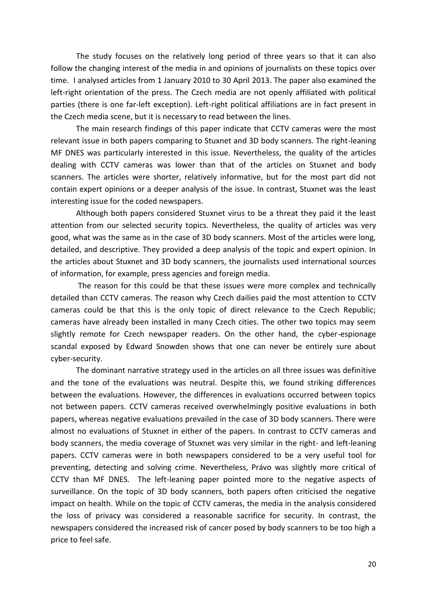The study focuses on the relatively long period of three years so that it can also follow the changing interest of the media in and opinions of journalists on these topics over time. I analysed articles from 1 January 2010 to 30 April 2013. The paper also examined the left-right orientation of the press. The Czech media are not openly affiliated with political parties (there is one far-left exception). Left-right political affiliations are in fact present in the Czech media scene, but it is necessary to read between the lines.

The main research findings of this paper indicate that CCTV cameras were the most relevant issue in both papers comparing to Stuxnet and 3D body scanners. The right-leaning MF DNES was particularly interested in this issue. Nevertheless, the quality of the articles dealing with CCTV cameras was lower than that of the articles on Stuxnet and body scanners. The articles were shorter, relatively informative, but for the most part did not contain expert opinions or a deeper analysis of the issue. In contrast, Stuxnet was the least interesting issue for the coded newspapers.

Although both papers considered Stuxnet virus to be a threat they paid it the least attention from our selected security topics. Nevertheless, the quality of articles was very good, what was the same as in the case of 3D body scanners. Most of the articles were long, detailed, and descriptive. They provided a deep analysis of the topic and expert opinion. In the articles about Stuxnet and 3D body scanners, the journalists used international sources of information, for example, press agencies and foreign media.

The reason for this could be that these issues were more complex and technically detailed than CCTV cameras. The reason why Czech dailies paid the most attention to CCTV cameras could be that this is the only topic of direct relevance to the Czech Republic; cameras have already been installed in many Czech cities. The other two topics may seem slightly remote for Czech newspaper readers. On the other hand, the cyber-espionage scandal exposed by Edward Snowden shows that one can never be entirely sure about cyber-security.

The dominant narrative strategy used in the articles on all three issues was definitive and the tone of the evaluations was neutral. Despite this, we found striking differences between the evaluations. However, the differences in evaluations occurred between topics not between papers. CCTV cameras received overwhelmingly positive evaluations in both papers, whereas negative evaluations prevailed in the case of 3D body scanners. There were almost no evaluations of Stuxnet in either of the papers. In contrast to CCTV cameras and body scanners, the media coverage of Stuxnet was very similar in the right- and left-leaning papers. CCTV cameras were in both newspapers considered to be a very useful tool for preventing, detecting and solving crime. Nevertheless, Právo was slightly more critical of CCTV than MF DNES. The left-leaning paper pointed more to the negative aspects of surveillance. On the topic of 3D body scanners, both papers often criticised the negative impact on health. While on the topic of CCTV cameras, the media in the analysis considered the loss of privacy was considered a reasonable sacrifice for security. In contrast, the newspapers considered the increased risk of cancer posed by body scanners to be too high a price to feel safe.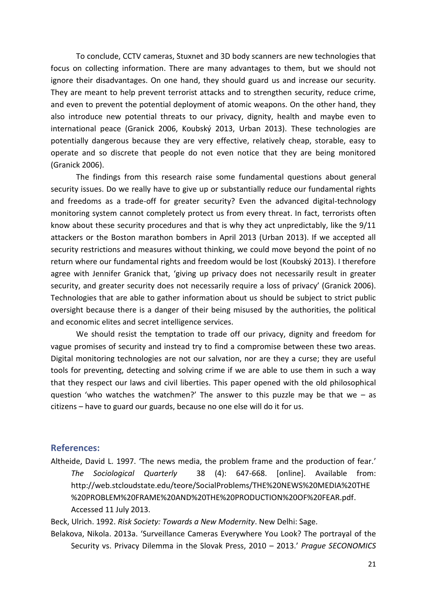To conclude, CCTV cameras, Stuxnet and 3D body scanners are new technologies that focus on collecting information. There are many advantages to them, but we should not ignore their disadvantages. On one hand, they should guard us and increase our security. They are meant to help prevent terrorist attacks and to strengthen security, reduce crime, and even to prevent the potential deployment of atomic weapons. On the other hand, they also introduce new potential threats to our privacy, dignity, health and maybe even to international peace (Granick 2006, Koubský 2013, Urban 2013). These technologies are potentially dangerous because they are very effective, relatively cheap, storable, easy to operate and so discrete that people do not even notice that they are being monitored (Granick 2006).

The findings from this research raise some fundamental questions about general security issues. Do we really have to give up or substantially reduce our fundamental rights and freedoms as a trade-off for greater security? Even the advanced digital-technology monitoring system cannot completely protect us from every threat. In fact, terrorists often know about these security procedures and that is why they act unpredictably, like the 9/11 attackers or the Boston marathon bombers in April 2013 (Urban 2013). If we accepted all security restrictions and measures without thinking, we could move beyond the point of no return where our fundamental rights and freedom would be lost (Koubský 2013). I therefore agree with Jennifer Granick that, 'giving up privacy does not necessarily result in greater security, and greater security does not necessarily require a loss of privacy' (Granick 2006). Technologies that are able to gather information about us should be subject to strict public oversight because there is a danger of their being misused by the authorities, the political and economic elites and secret intelligence services.

We should resist the temptation to trade off our privacy, dignity and freedom for vague promises of security and instead try to find a compromise between these two areas. Digital monitoring technologies are not our salvation, nor are they a curse; they are useful tools for preventing, detecting and solving crime if we are able to use them in such a way that they respect our laws and civil liberties. This paper opened with the old philosophical question 'who watches the watchmen?' The answer to this puzzle may be that we  $-$  as citizens – have to guard our guards, because no one else will do it for us.

#### **References:**

Altheide, David L. 1997. 'The news media, the problem frame and the production of fear.' *The Sociological Quarterly* 38 (4): 647-668. [online]. Available from: [http://web.stcloudstate.edu/teore/SocialProblems/THE%20NEWS%20MEDIA%20THE](http://web.stcloudstate.edu/teore/SocialProblems/THE%20NEWS%20MEDIA%20THE%20PROBLEM%20FRAME%20AND%20THE%20PRODUCTION%20OF%20FEAR.pdf) [%20PROBLEM%20FRAME%20AND%20THE%20PRODUCTION%20OF%20FEAR.pdf.](http://web.stcloudstate.edu/teore/SocialProblems/THE%20NEWS%20MEDIA%20THE%20PROBLEM%20FRAME%20AND%20THE%20PRODUCTION%20OF%20FEAR.pdf) Accessed 11 July 2013.

Beck, Ulrich. 1992. *Risk Society: Towards a New Modernity*. New Delhi: Sage.

Belakova, Nikola. 2013a. 'Surveillance Cameras Everywhere You Look? The portrayal of the Security vs. Privacy Dilemma in the Slovak Press, 2010 – 2013.' *Prague SECONOMICS*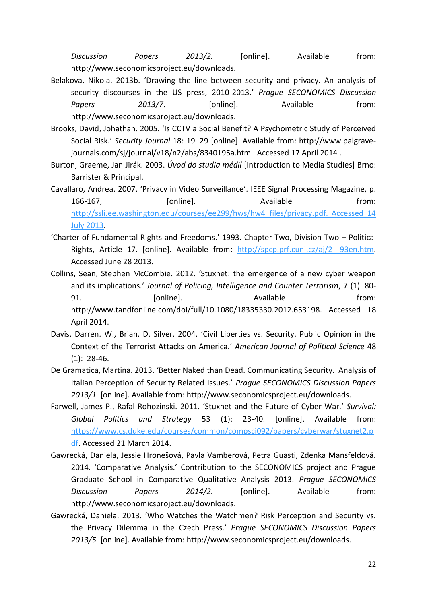*Discussion Papers 2013/2.* [online]. Available from: [http://www.seconomicsproject.eu/downloads.](http://www.seconomicsproject.eu/downloads)

- Belakova, Nikola. 2013b. 'Drawing the line between security and privacy. An analysis of security discourses in the US press, 2010-2013.' *Prague SECONOMICS Discussion*  Papers 2013/7. [online]. Available from: [http://www.seconomicsproject.eu/downloads.](http://www.seconomicsproject.eu/downloads)
- Brooks, David, Johathan. 2005. 'Is CCTV a Social Benefit? A Psychometric Study of Perceived Social Risk.' *Security Journal* 18: 19–29 [online]. Available from: http://www.palgravejournals.com/sj/journal/v18/n2/abs/8340195a.html. Accessed 17 April 2014 .
- Burton, Graeme, Jan Jirák. 2003. *Úvod do studia médií* [Introduction to Media Studies] Brno: Barrister & Principal.
- Cavallaro, Andrea. 2007. 'Privacy in Video Surveillance'. IEEE Signal Processing Magazine, p. 166-167, [online]. Available from: [http://ssli.ee.washington.edu/courses/ee299/hws/hw4\\_files/privacy.pdf. Accessed 14](http://ssli.ee.washington.edu/courses/ee299/hws/hw4_files/privacy.pdf.%20Accessed%2014%20July%202013)  [July 2013.](http://ssli.ee.washington.edu/courses/ee299/hws/hw4_files/privacy.pdf.%20Accessed%2014%20July%202013)
- 'Charter of Fundamental Rights and Freedoms.' 1993. Chapter Two, Division Two Political Rights, Article 17. [online]. Available from: [http://spcp.prf.cuni.cz/aj/2-](http://spcp.prf.cuni.cz/aj/2-%2093en.htm) 93en.htm. Accessed June 28 2013.

Collins, Sean, Stephen McCombie. 2012. 'Stuxnet: the emergence of a new cyber weapon and its implications.' *Journal of Policing, Intelligence and Counter Terrorism*, 7 (1): 80- 91. **Example 10** [online]. The set of a set of a set of a set of from: http://www.tandfonline.com/doi/full/10.1080/18335330.2012.653198. Accessed 18 April 2014.

- Davis, Darren. W., Brian. D. Silver. 2004. 'Civil Liberties vs. Security. Public Opinion in the Context of the Terrorist Attacks on America.' *American Journal of Political Science* 48 (1): 28-46.
- De Gramatica, Martina. 2013. 'Better Naked than Dead. Communicating Security. Analysis of Italian Perception of Security Related Issues.' *Prague SECONOMICS Discussion Papers 2013/1.* [online]. Available from: [http://www.seconomicsproject.eu/downloads.](http://www.seconomicsproject.eu/downloads)
- Farwell, James P., Rafal Rohozinski. 2011. 'Stuxnet and the Future of Cyber War.' *Survival: Global Politics and Strategy* 53 (1): 23-40. [online]. Available from: [https://www.cs.duke.edu/courses/common/compsci092/papers/cyberwar/stuxnet2.p](https://www.cs.duke.edu/courses/common/compsci092/papers/cyberwar/stuxnet2.pdf) [df.](https://www.cs.duke.edu/courses/common/compsci092/papers/cyberwar/stuxnet2.pdf) Accessed 21 March 2014.
- Gawrecká, Daniela, Jessie Hronešová, Pavla Vamberová, Petra Guasti, Zdenka Mansfeldová. 2014. 'Comparative Analysis.' Contribution to the SECONOMICS project and Prague Graduate School in Comparative Qualitative Analysis 2013. *Prague SECONOMICS Discussion Papers 2014/2.* [online]. Available from: [http://www.seconomicsproject.eu/downloads.](http://www.seconomicsproject.eu/downloads)
- Gawrecká, Daniela. 2013. 'Who Watches the Watchmen? Risk Perception and Security vs. the Privacy Dilemma in the Czech Press.' *Prague SECONOMICS Discussion Papers 2013/5.* [online]. Available from: [http://www.seconomicsproject.eu/downloads.](http://www.seconomicsproject.eu/downloads)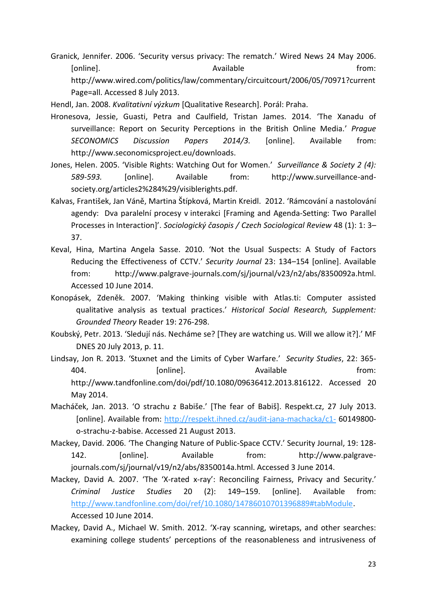Granick, Jennifer. 2006. 'Security versus privacy: The rematch.' Wired News 24 May 2006. [online]. The contract of the contract of the Available contract of the from: http://www.wired.com/politics/law/commentary/circuitcourt/2006/05/70971?current Page=all. Accessed 8 July 2013.

Hendl, Jan. 2008. *Kvalitativní výzkum* [Qualitative Research]. Porál: Praha.

- Hronesova, Jessie, Guasti, Petra and Caulfield, Tristan James. 2014. 'The Xanadu of surveillance: Report on Security Perceptions in the British Online Media.' *Prague SECONOMICS Discussion Papers 2014/3.* [online]. Available from: [http://www.seconomicsproject.eu/downloads.](http://www.seconomicsproject.eu/downloads)
- Jones, Helen. 2005. 'Visible Rights: Watching Out for Women.' *Surveillance & Society 2 (4): 589-593.* [online]. Available from: http://www.surveillance-andsociety.org/articles2%284%29/visiblerights.pdf.
- Kalvas, František, Jan Váně, Martina Štípková, Martin Kreidl. 2012. 'Rámcování a nastolování agendy: Dva paralelní procesy v interakci [Framing and Agenda-Setting: Two Parallel Processes in Interaction]'. *Sociologický časopis / Czech Sociological Review* 48 (1): 1: 3– 37.
- Keval, Hina, Martina Angela Sasse. 2010. 'Not the Usual Suspects: A Study of Factors Reducing the Effectiveness of CCTV.' *Security Journal* 23: 134–154 [online]. Available from: http://www.palgrave-journals.com/sj/journal/v23/n2/abs/8350092a.html. Accessed 10 June 2014.
- Konopásek, Zdeněk. 2007. 'Making thinking visible with Atlas.ti: Computer assisted qualitative analysis as textual practices.' *Historical Social Research, Supplement: Grounded Theory* Reader 19: 276-298.
- Koubský, Petr. 2013. 'Sledují nás. Necháme se? [They are watching us. Will we allow it?].' MF DNES 20 July 2013, p. 11.
- Lindsay, Jon R. 2013. 'Stuxnet and the Limits of Cyber Warfare.' *Security Studies*, 22: 365- 404. [online]. Available from: [http://www.tandfonline.com/doi/pdf/10.1080/09636412.2013.816122.](http://www.tandfonline.com/doi/pdf/10.1080/09636412.2013.816122) Accessed 20 May 2014.
- Macháček, Jan. 2013. 'O strachu z Babiše.' [The fear of Babiš]. Respekt.cz, 27 July 2013. [online]. Available from:<http://respekt.ihned.cz/audit-jana-machacka/c1-> 60149800 o-strachu-z-babise. Accessed 21 August 2013.
- Mackey, David. 2006. 'The Changing Nature of Public-Space CCTV.' Security Journal, 19: 128- 142. [online]. Available from: http://www.palgravejournals.com/sj/journal/v19/n2/abs/8350014a.html. Accessed 3 June 2014.
- Mackey, David A. 2007. 'The 'X-rated x-ray': Reconciling Fairness, Privacy and Security.' *Criminal Justice Studies* 20 (2): 149–159. [online]. Available from: [http://www.tandfonline.com/doi/ref/10.1080/14786010701396889#tabModule.](http://www.tandfonline.com/doi/ref/10.1080/14786010701396889#tabModule) Accessed 10 June 2014.
- Mackey, David A., Michael W. Smith. 2012. 'X-ray scanning, wiretaps, and other searches: examining college students' perceptions of the reasonableness and intrusiveness of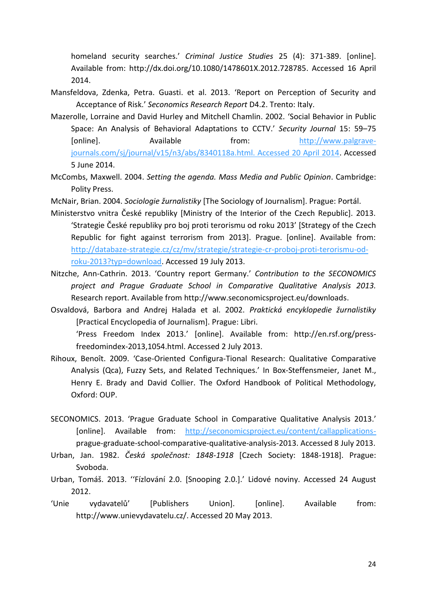homeland security searches.' *Criminal Justice Studies* 25 (4): 371-389. [online]. Available from: [http://dx.doi.org/10.1080/1478601X.2012.728785.](http://dx.doi.org/10.1080/1478601X.2012.728785) Accessed 16 April 2014.

- Mansfeldova, Zdenka, Petra. Guasti. et al. 2013. 'Report on Perception of Security and Acceptance of Risk.' *Seconomics Research Report* D4.2. Trento: Italy.
- Mazerolle, Lorraine and David Hurley and Mitchell Chamlin. 2002. 'Social Behavior in Public Space: An Analysis of Behavioral Adaptations to CCTV.' *Security Journal* 15: 59–75 [online]. Available from: [http://www.palgrave](http://www.palgrave-journals.com/sj/journal/v15/n3/abs/8340118a.html.%20Accessed%2020%20April%202014)[journals.com/sj/journal/v15/n3/abs/8340118a.html. Accessed 20 April 2014.](http://www.palgrave-journals.com/sj/journal/v15/n3/abs/8340118a.html.%20Accessed%2020%20April%202014) Accessed 5 June 2014.
- McCombs, Maxwell. 2004. *Setting the agenda. Mass Media and Public Opinion*. Cambridge: Polity Press.
- McNair, Brian. 2004. *Sociologie žurnalistiky* [The Sociology of Journalism]. Prague: Portál.
- Ministerstvo vnitra České republiky [Ministry of the Interior of the Czech Republic]. 2013. 'Strategie České republiky pro boj proti terorismu od roku 2013' [Strategy of the Czech Republic for fight against terrorism from 2013]. Prague. [online]. Available from: [http://databaze-strategie.cz/cz/mv/strategie/strategie-cr-proboj-proti-terorismu-od](http://databaze-strategie.cz/cz/mv/strategie/strategie-cr-proboj-proti-terorismu-od-roku-2013?typ=download)[roku-2013?typ=download.](http://databaze-strategie.cz/cz/mv/strategie/strategie-cr-proboj-proti-terorismu-od-roku-2013?typ=download) Accessed 19 July 2013.
- Nitzche, Ann-Cathrin. 2013. 'Country report Germany.' *Contribution to the SECONOMICS project and Prague Graduate School in Comparative Qualitative Analysis 2013.* Research report. Available from [http://www.seconomicsproject.eu/downloads.](http://www.seconomicsproject.eu/downloads)
- Osvaldová, Barbora and Andrej Halada et al. 2002. *Praktická encyklopedie žurnalistiky* [Practical Encyclopedia of Journalism]. Prague: Libri.

'Press Freedom Index 2013.' [online]. Available from: http://en.rsf.org/pressfreedomindex-2013,1054.html. Accessed 2 July 2013.

- Rihoux, Benoît. 2009. 'Case-Oriented Configura-Tional Research: Qualitative Comparative Analysis (Qca), Fuzzy Sets, and Related Techniques.' In Box-Steffensmeier, Janet M., Henry E. Brady and David Collier. The Oxford Handbook of Political Methodology, Oxford: OUP.
- SECONOMICS. 2013. 'Prague Graduate School in Comparative Qualitative Analysis 2013.' [online]. Available from: [http://seconomicsproject.eu/content/callapplications](http://seconomicsproject.eu/content/callapplications-)prague-graduate-school-comparative-qualitative-analysis-2013. Accessed 8 July 2013.
- Urban, Jan. 1982. *Česká společnost: 1848-1918* [Czech Society: 1848-1918]. Prague: Svoboda.
- Urban, Tomáš. 2013. ''Fízlování 2.0. [Snooping 2.0.].' Lidové noviny. Accessed 24 August 2012.
- 'Unie vydavatelů' [Publishers Union]. [online]. Available from: http://www.unievydavatelu.cz/. Accessed 20 May 2013.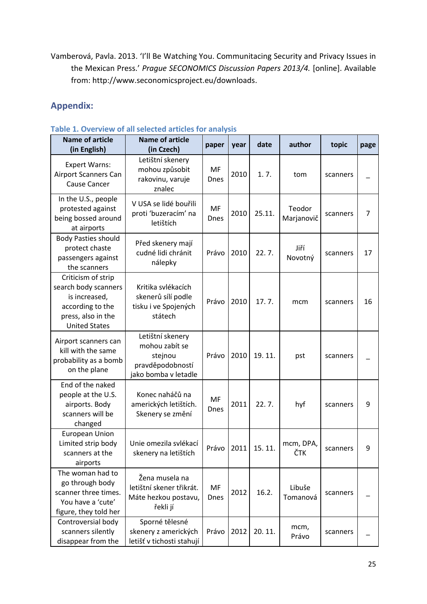Vamberová, Pavla. 2013. 'I'll Be Watching You. Communitacing Security and Privacy Issues in the Mexican Press.' *Prague SECONOMICS Discussion Papers 2013/4.* [online]. Available from: [http://www.seconomicsproject.eu/downloads.](http://www.seconomicsproject.eu/downloads)

## **Appendix:**

| <b>Name of article</b><br>(in English)                                                                                        | 1. OVCI VICW OF AIT SCIECECA AT LICICS TOF ATIATYSIS<br><b>Name of article</b><br>(in Czech) | paper             | year | date   | author               | topic    | page |
|-------------------------------------------------------------------------------------------------------------------------------|----------------------------------------------------------------------------------------------|-------------------|------|--------|----------------------|----------|------|
| <b>Expert Warns:</b><br><b>Airport Scanners Can</b><br><b>Cause Cancer</b>                                                    | Letištní skenery<br>mohou způsobit<br>rakovinu, varuje<br>znalec                             | MF<br><b>Dnes</b> | 2010 | 1.7.   | tom                  | scanners |      |
| In the U.S., people<br>protested against<br>being bossed around<br>at airports                                                | V USA se lidé bouřili<br>proti 'buzeracím' na<br>letištích                                   | MF<br><b>Dnes</b> | 2010 | 25.11. | Teodor<br>Marjanovič | scanners | 7    |
| <b>Body Pasties should</b><br>protect chaste<br>passengers against<br>the scanners                                            | Před skenery mají<br>cudné lidi chránit<br>nálepky                                           | Právo             | 2010 | 22.7.  | Jiří<br>Novotný      | scanners | 17   |
| Criticism of strip<br>search body scanners<br>is increased,<br>according to the<br>press, also in the<br><b>United States</b> | Kritika svlékacích<br>skenerů sílí podle<br>tisku i ve Spojených<br>státech                  | Právo             | 2010 | 17.7.  | mcm                  | scanners | 16   |
| Airport scanners can<br>kill with the same<br>probability as a bomb<br>on the plane                                           | Letištní skenery<br>mohou zabít se<br>stejnou<br>pravděpodobností<br>jako bomba v letadle    | Právo             | 2010 | 19.11. | pst                  | scanners |      |
| End of the naked<br>people at the U.S.<br>airports. Body<br>scanners will be<br>changed                                       | Konec naháčů na<br>amerických letištích.<br>Skenery se změní                                 | MF<br>Dnes        | 2011 | 22.7.  | hyf                  | scanners | 9    |
| <b>European Union</b><br>Limited strip body<br>scanners at the<br>airports                                                    | Unie omezila svlékací<br>skenery na letištích                                                | Právo             | 2011 | 15.11. | mcm, DPA,<br>ČTK     | scanners | 9    |
| The woman had to<br>go through body<br>scanner three times.<br>You have a 'cute'<br>figure, they told her                     | Žena musela na<br>letištní skener třikrát.<br>Máte hezkou postavu,<br>řekli jí               | MF<br><b>Dnes</b> | 2012 | 16.2.  | Libuše<br>Tomanová   | scanners |      |
| Controversial body<br>scanners silently<br>disappear from the                                                                 | Sporné tělesné<br>skenery z amerických<br>letišť v tichosti stahují                          | Právo             | 2012 | 20.11. | mcm,<br>Právo        | scanners |      |

#### **Table 1. Overview of all selected articles for analysis**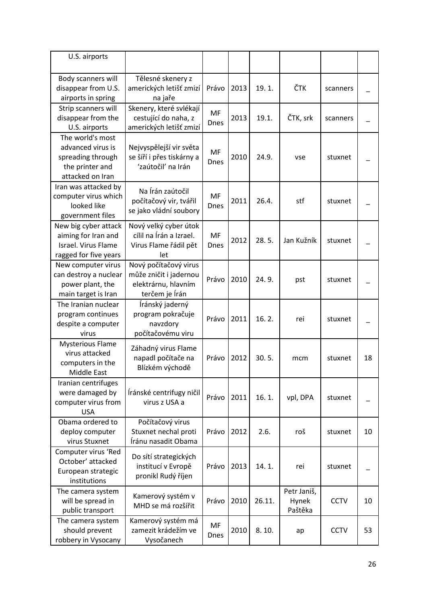| U.S. airports                                                                                     |                                                                                          |                   |      |        |                                 |             |    |
|---------------------------------------------------------------------------------------------------|------------------------------------------------------------------------------------------|-------------------|------|--------|---------------------------------|-------------|----|
| Body scanners will<br>disappear from U.S.<br>airports in spring                                   | Tělesné skenery z<br>amerických letišť zmizí<br>na jaře                                  | Právo             | 2013 | 19.1.  | ČTK                             | scanners    |    |
| Strip scanners will<br>disappear from the<br>U.S. airports                                        | Skenery, které svlékají<br>cestující do naha, z<br>amerických letišť zmizí               | MF<br>Dnes        | 2013 | 19.1.  | ČTK, srk                        | scanners    |    |
| The world's most<br>advanced virus is<br>spreading through<br>the printer and<br>attacked on Iran | Nejvyspělejší vir světa<br>se šíří i přes tiskárny a<br>'zaútočil' na Irán               | MF<br><b>Dnes</b> | 2010 | 24.9.  | vse                             | stuxnet     |    |
| Iran was attacked by<br>computer virus which<br>looked like<br>government files                   | Na Írán zaútočil<br>počítačový vir, tvářil<br>se jako vládní soubory                     | MF<br><b>Dnes</b> | 2011 | 26.4.  | stf                             | stuxnet     |    |
| New big cyber attack<br>aiming for Iran and<br>Israel. Virus Flame<br>ragged for five years       | Nový velký cyber útok<br>cílil na Írán a Izrael.<br>Virus Flame řádil pět<br>let         | MF<br><b>Dnes</b> | 2012 | 28.5.  | Jan Kužník                      | stuxnet     |    |
| New computer virus<br>can destroy a nuclear<br>power plant, the<br>main target is Iran            | Nový počítačový virus<br>může zničit i jadernou<br>elektrárnu, hlavním<br>terčem je Írán | Právo             | 2010 | 24.9.  | pst                             | stuxnet     |    |
| The Iranian nuclear<br>program continues<br>despite a computer<br>virus                           | Íránský jaderný<br>program pokračuje<br>navzdory<br>počítačovému viru                    | Právo             | 2011 | 16.2.  | rei                             | stuxnet     |    |
| <b>Mysterious Flame</b><br>virus attacked<br>computers in the<br>Middle East                      | Záhadný virus Flame<br>napadl počítače na<br>Blízkém východě                             | Právo             | 2012 | 30.5.  | mcm                             | stuxnet     | 18 |
| Iranian centrifuges<br>were damaged by<br>computer virus from<br><b>USA</b>                       | Íránské centrifugy ničil<br>virus z USA a                                                | Právo             | 2011 | 16.1.  | vpl, DPA                        | stuxnet     |    |
| Obama ordered to<br>deploy computer<br>virus Stuxnet                                              | Počítačový virus<br>Stuxnet nechal proti<br>Íránu nasadit Obama                          | Právo             | 2012 | 2.6.   | roš                             | stuxnet     | 10 |
| Computer virus 'Red<br>October' attacked<br>European strategic<br>institutions                    | Do sítí strategických<br>institucí v Evropě<br>pronikl Rudý říjen                        | Právo             | 2013 | 14.1.  | rei                             | stuxnet     |    |
| The camera system<br>will be spread in<br>public transport                                        | Kamerový systém v<br>MHD se má rozšířit                                                  | Právo             | 2010 | 26.11. | Petr Janiš,<br>Hynek<br>Paštěka | <b>CCTV</b> | 10 |
| The camera system<br>should prevent<br>robbery in Vysocany                                        | Kamerový systém má<br>zamezit krádežím ve<br>Vysočanech                                  | MF<br>Dnes        | 2010 | 8.10.  | ap                              | <b>CCTV</b> | 53 |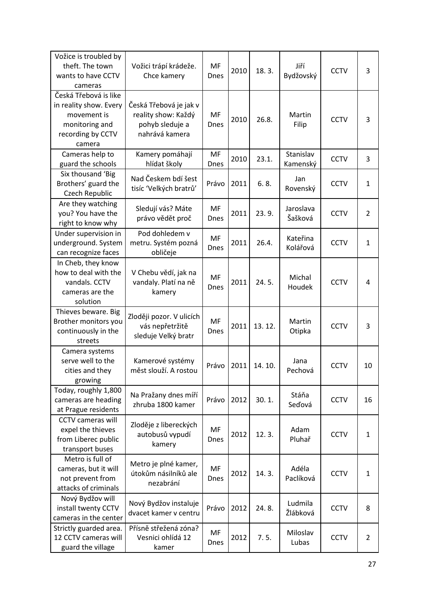| Vožice is troubled by<br>theft. The town<br>wants to have CCTV<br>cameras                                       | Vožici trápí krádeže.<br>Chce kamery                                               | MF<br><b>Dnes</b> | 2010 | 18.3.  | Jiří<br>Bydžovský     | <b>CCTV</b> | 3              |
|-----------------------------------------------------------------------------------------------------------------|------------------------------------------------------------------------------------|-------------------|------|--------|-----------------------|-------------|----------------|
| Česká Třebová is like<br>in reality show. Every<br>movement is<br>monitoring and<br>recording by CCTV<br>camera | Česká Třebová je jak v<br>reality show: Každý<br>pohyb sleduje a<br>nahrává kamera | MF<br><b>Dnes</b> | 2010 | 26.8.  | Martin<br>Filip       | <b>CCTV</b> | 3              |
| Cameras help to<br>guard the schools                                                                            | Kamery pomáhají<br>hlídat školy                                                    | MF<br><b>Dnes</b> | 2010 | 23.1.  | Stanislav<br>Kamenský | <b>CCTV</b> | 3              |
| Six thousand 'Big<br>Brothers' guard the<br>Czech Republic                                                      | Nad Českem bdí šest<br>tisíc 'Velkých bratrů'                                      | Právo             | 2011 | 6.8.   | Jan<br>Rovenský       | <b>CCTV</b> | $\mathbf{1}$   |
| Are they watching<br>you? You have the<br>right to know why                                                     | Sledují vás? Máte<br>právo vědět proč                                              | MF<br>Dnes        | 2011 | 23.9.  | Jaroslava<br>Šašková  | <b>CCTV</b> | $\overline{2}$ |
| Under supervision in<br>underground. System<br>can recognize faces                                              | Pod dohledem v<br>metru. Systém pozná<br>obličeje                                  | MF<br><b>Dnes</b> | 2011 | 26.4.  | Kateřina<br>Kolářová  | <b>CCTV</b> | 1              |
| In Cheb, they know<br>how to deal with the<br>vandals. CCTV<br>cameras are the<br>solution                      | V Chebu vědí, jak na<br>vandaly. Platí na ně<br>kamery                             | MF<br>Dnes        | 2011 | 24.5.  | Michal<br>Houdek      | <b>CCTV</b> | 4              |
| Thieves beware. Big<br>Brother monitors you<br>continuously in the<br>streets                                   | Zloději pozor. V ulicích<br>vás nepřetržitě<br>sleduje Velký bratr                 | MF<br>Dnes        | 2011 | 13.12. | Martin<br>Otipka      | <b>CCTV</b> | 3              |
| Camera systems<br>serve well to the<br>cities and they<br>growing                                               | Kamerové systémy<br>měst slouží. A rostou                                          | Právo             | 2011 | 14.10. | Jana<br>Pechová       | <b>CCTV</b> | 10             |
| Today, roughly 1,800<br>cameras are heading<br>at Prague residents                                              | Na Pražany dnes míří<br>zhruba 1800 kamer                                          | Právo             | 2012 | 30.1.  | Stáňa<br>Seďová       | <b>CCTV</b> | 16             |
| <b>CCTV</b> cameras will<br>expel the thieves<br>from Liberec public<br>transport buses                         | Zloděje z libereckých<br>autobusů vypudí<br>kamery                                 | MF<br>Dnes        | 2012 | 12.3.  | Adam<br>Pluhař        | <b>CCTV</b> | $\mathbf{1}$   |
| Metro is full of<br>cameras, but it will<br>not prevent from<br>attacks of criminals                            | Metro je plné kamer,<br>útokům násilníků ale<br>nezabrání                          | MF<br><b>Dnes</b> | 2012 | 14.3.  | Adéla<br>Paclíková    | <b>CCTV</b> | 1              |
| Nový Bydžov will<br>install twenty CCTV<br>cameras in the center                                                | Nový Bydžov instaluje<br>dvacet kamer v centru                                     | Právo             | 2012 | 24.8.  | Ludmila<br>Žlábková   | <b>CCTV</b> | 8              |
| Strictly guarded area.<br>12 CCTV cameras will<br>guard the village                                             | Přísně střežená zóna?<br>Vesnici ohlídá 12<br>kamer                                | MF<br>Dnes        | 2012 | 7.5.   | Miloslav<br>Lubas     | <b>CCTV</b> | $\overline{2}$ |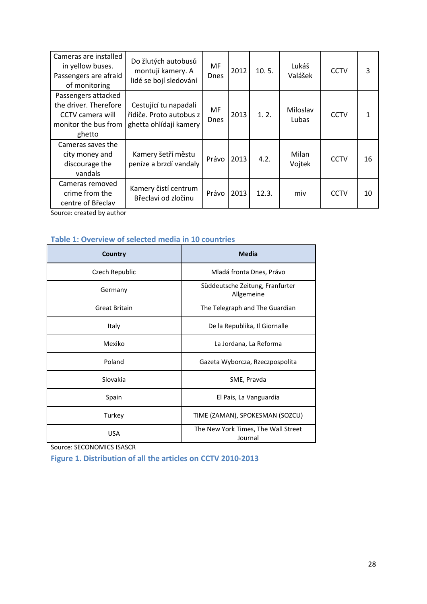| Cameras are installed<br>in yellow buses.<br>Passengers are afraid<br>of monitoring                | Do žlutých autobusů<br>montují kamery. A<br>lidé se bojí sledování         | МF<br><b>Dnes</b> | 2012 | 10.5. | Lukáš<br>Valášek  | <b>CCTV</b> | 3  |
|----------------------------------------------------------------------------------------------------|----------------------------------------------------------------------------|-------------------|------|-------|-------------------|-------------|----|
| Passengers attacked<br>the driver. Therefore<br>CCTV camera will<br>monitor the bus from<br>ghetto | Cestující tu napadali<br>řidiče. Proto autobus z<br>ghetta ohlídají kamery | MF<br><b>Dnes</b> | 2013 | 1.2.  | Miloslav<br>Lubas | <b>CCTV</b> | 1  |
| Cameras saves the<br>city money and<br>discourage the<br>vandals                                   | Kamery šetří městu<br>peníze a brzdí vandaly                               | Právo             | 2013 | 4.2.  | Milan<br>Vojtek   | <b>CCTV</b> | 16 |
| Cameras removed<br>crime from the<br>centre of Břeclav                                             | Kamery čistí centrum<br>Břeclavi od zločinu                                | Právo             | 2013 | 12.3. | miv               | <b>CCTV</b> | 10 |

Source: created by author

## **Table 1: Overview of selected media in 10 countries**

| Country              | <b>Media</b>                                   |  |  |  |
|----------------------|------------------------------------------------|--|--|--|
| Czech Republic       | Mladá fronta Dnes, Právo                       |  |  |  |
| Germany              | Süddeutsche Zeitung, Franfurter<br>Allgemeine  |  |  |  |
| <b>Great Britain</b> | The Telegraph and The Guardian                 |  |  |  |
| Italy                | De la Republika, Il Giornalle                  |  |  |  |
| Mexiko               | La Jordana, La Reforma                         |  |  |  |
| Poland               | Gazeta Wyborcza, Rzeczpospolita                |  |  |  |
| Slovakia             | SME, Pravda                                    |  |  |  |
| Spain                | El Pais, La Vanguardia                         |  |  |  |
| Turkey               | TIME (ZAMAN), SPOKESMAN (SOZCU)                |  |  |  |
| <b>USA</b>           | The New York Times, The Wall Street<br>Journal |  |  |  |

Source: SECONOMICS ISASCR

**Figure 1. Distribution of all the articles on CCTV 2010-2013**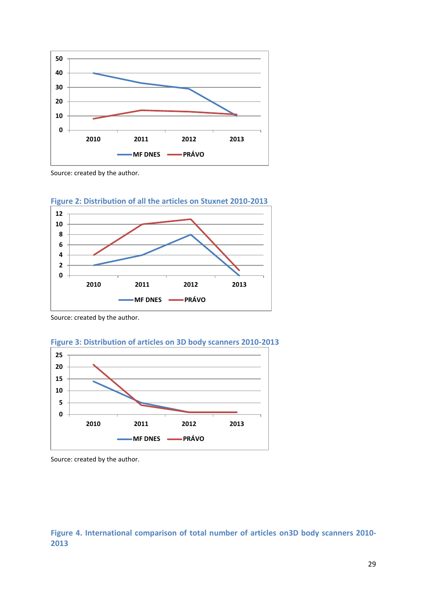

Source: created by the author.





Source: created by the author.





Source: created by the author.

## **Figure 4. International comparison of total number of articles on3D body scanners 2010-**